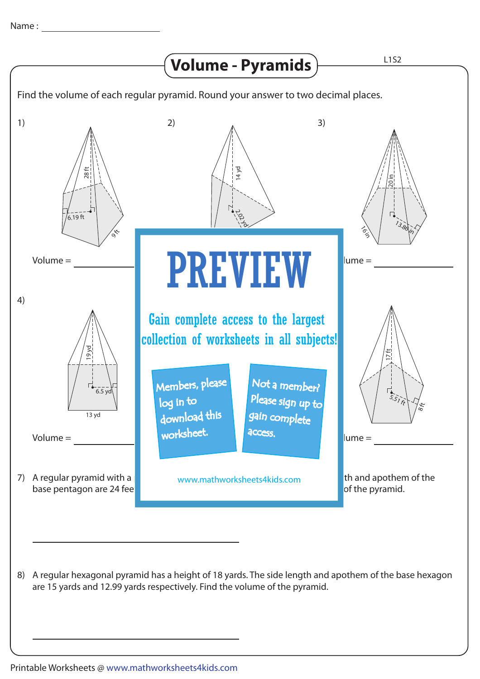